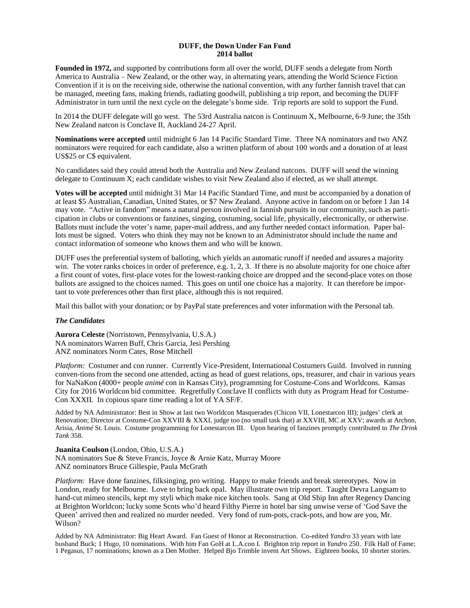#### **DUFF, the Down Under Fan Fund 2014 ballot**

**Founded in 1972,** and supported by contributions form all over the world, DUFF sends a delegate from North America to Australia – New Zealand, or the other way, in alternating years, attending the World Science Fiction Convention if it is on the receiving side, otherwise the national convention, with any further fannish travel that can be managed, meeting fans, making friends, radiating goodwill, publishing a trip report, and becoming the DUFF Administrator in turn until the next cycle on the delegate's home side. Trip reports are sold to support the Fund.

In 2014 the DUFF delegate will go west. The 53rd Australia natcon is Continuum X, Melbourne, 6-9 June; the 35th New Zealand natcon is Conclave II, Auckland 24-27 April.

**Nominations were accepted** until midnight 6 Jan 14 Pacific Standard Time. Three NA nominators and two ANZ nominators were required for each candidate, also a written platform of about 100 words and a donation of at least US\$25 or C\$ equivalent.

No candidates said they could attend both the Australia and New Zealand natcons. DUFF will send the winning delegate to Continuum X; each candidate wishes to visit New Zealand also if elected, as we shall attempt.

**Votes will be accepted** until midnight 31 Mar 14 Pacific Standard Time, and must be accompanied by a donation of at least \$5 Australian, Canadian, United States, or \$7 New Zealand. Anyone active in fandom on or before 1 Jan 14 may vote. "Active in fandom" means a natural person involved in fannish pursuits in our community, such as participation in clubs or conventions or fanzines, singing, costuming, social life, physically, electronically, or otherwise. Ballots must include the voter's name, paper-mail address, and any further needed contact information. Paper ballots must be signed. Voters who think they may not be known to an Administrator should include the name and contact information of someone who knows them and who will be known.

DUFF uses the preferential system of balloting, which yields an automatic runoff if needed and assures a majority win. The voter ranks choices in order of preference, e.g. 1, 2, 3. If there is no absolute majority for one choice after a first count of votes, first-place votes for the lowest-ranking choice are dropped and the second-place votes on those ballots are assigned to the choices named. This goes on until one choice has a majority. It can therefore be important to vote preferences other than first place, although this is not required.

Mail this ballot with your donation; or by PayPal state preferences and voter information with the Personal tab.

## *The Candidates*

**Aurora Celeste** (Norristown, Pennsylvania, U.S.A.) NA nominators Warren Buff, Chris Garcia, Jesi Pershing ANZ nominators Norm Cates, Rose Mitchell

*Platform:* Costumer and con runner. Currently Vice-President, International Costumers Guild. Involved in running conven-tions from the second one attended, acting as head of guest relations, ops, treasurer, and chair in various years for NaNaKon (4000+ people *animé* con in Kansas City), programming for Costume-Cons and Worldcons. Kansas City for 2016 Worldcon bid committee. Regretfully Conclave II conflicts with duty as Program Head for Costume-Con XXXII. In copious spare time reading a lot of YA SF/F.

Added by NA Administrator: Best in Show at last two Worldcon Masquerades (Chicon VII, Lonestarcon III); judges' clerk at Renovation; Director at Costume-Con XXVIII & XXXI, judge too (no small task that) at XXVIII, MC at XXV; awards at Archon, Arisia, *Animé* St. Louis. Costume programming for Lonestarcon III. Upon hearing of fanzines promptly contributed to *The Drink Tank* 358.

**Juanita Coulson** (London, Ohio, U.S.A.) NA nominators Sue & Steve Francis, Joyce & Arnie Katz, Murray Moore ANZ nominators Bruce Gillespie, Paula McGrath

*Platform:* Have done fanzines, filksinging, pro writing. Happy to make friends and break stereotypes. Now in London, ready for Melbourne. Love to bring back opal. May illustrate own trip report. Taught Devra Langsam to hand-cut mimeo stencils, kept my styli which make nice kitchen tools. Sang at Old Ship Inn after Regency Dancing at Brighton Worldcon; lucky some Scots who'd heard Filthy Pierre in hotel bar sing unwise verse of 'God Save the Queen' arrived then and realized no murder needed. Very fond of rum-pots, crack-pots, and how are you, Mr. Wilson?

Added by NA Administrator: Big Heart Award. Fan Guest of Honor at Reconstruction. Co-edited *Yandro* 33 years with late husband Buck; 1 Hugo, 10 nominations. With him Fan GoH at L.A.con I. Brighton trip report in *Yandro* 250. Filk Hall of Fame; 1 Pegasus, 17 nominations; known as a Den Mother. Helped Bjo Trimble invent Art Shows. Eighteen books, 10 shorter stories.